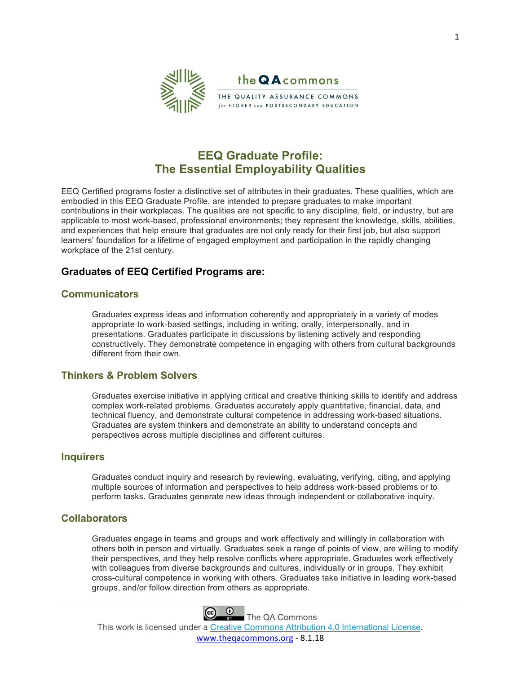

# **EEQ Graduate Profile: The Essential Employability Qualities**

EEQ Certified programs foster a distinctive set of attributes in their graduates. These qualities, which are embodied in this EEQ Graduate Profile, are intended to prepare graduates to make important contributions in their workplaces. The qualities are not specific to any discipline, field, or industry, but are applicable to most work-based, professional environments; they represent the knowledge, skills, abilities, and experiences that help ensure that graduates are not only ready for their first job, but also support learners' foundation for a lifetime of engaged employment and participation in the rapidly changing workplace of the 21st century.

# **Graduates of EEQ Certified Programs are:**

### **Communicators**

Graduates express ideas and information coherently and appropriately in a variety of modes appropriate to work-based settings, including in writing, orally, interpersonally, and in presentations. Graduates participate in discussions by listening actively and responding constructively. They demonstrate competence in engaging with others from cultural backgrounds different from their own.

## **Thinkers & Problem Solvers**

Graduates exercise initiative in applying critical and creative thinking skills to identify and address complex work-related problems. Graduates accurately apply quantitative, financial, data, and technical fluency, and demonstrate cultural competence in addressing work-based situations. Graduates are system thinkers and demonstrate an ability to understand concepts and perspectives across multiple disciplines and different cultures.

#### **Inquirers**

Graduates conduct inquiry and research by reviewing, evaluating, verifying, citing, and applying multiple sources of information and perspectives to help address work-based problems or to perform tasks. Graduates generate new ideas through independent or collaborative inquiry.

#### **Collaborators**

Graduates engage in teams and groups and work effectively and willingly in collaboration with others both in person and virtually. Graduates seek a range of points of view, are willing to modify their perspectives, and they help resolve conflicts where appropriate. Graduates work effectively with colleagues from diverse backgrounds and cultures, individually or in groups. They exhibit cross-cultural competence in working with others. Graduates take initiative in leading work-based groups, and/or follow direction from others as appropriate.



This work is licensed under a [Creative Commons Attribution 4.0 International License](http://creativecommons.org/licenses/by/4.0/). [www.theqacommons.org](http://www.theqacommons.org) - 8.1.18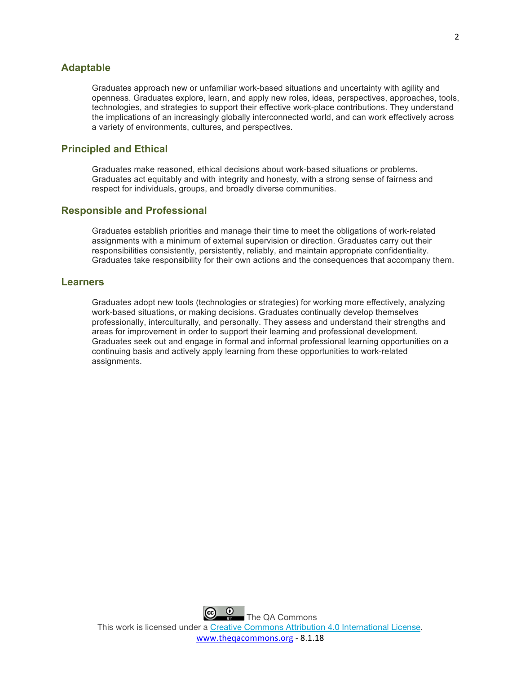### **Adaptable**

Graduates approach new or unfamiliar work-based situations and uncertainty with agility and openness. Graduates explore, learn, and apply new roles, ideas, perspectives, approaches, tools, technologies, and strategies to support their effective work-place contributions. They understand the implications of an increasingly globally interconnected world, and can work effectively across a variety of environments, cultures, and perspectives.

# **Principled and Ethical**

Graduates make reasoned, ethical decisions about work-based situations or problems. Graduates act equitably and with integrity and honesty, with a strong sense of fairness and respect for individuals, groups, and broadly diverse communities.

### **Responsible and Professional**

Graduates establish priorities and manage their time to meet the obligations of work-related assignments with a minimum of external supervision or direction. Graduates carry out their responsibilities consistently, persistently, reliably, and maintain appropriate confidentiality. Graduates take responsibility for their own actions and the consequences that accompany them.

#### **Learners**

Graduates adopt new tools (technologies or strategies) for working more effectively, analyzing work-based situations, or making decisions. Graduates continually develop themselves professionally, interculturally, and personally. They assess and understand their strengths and areas for improvement in order to support their learning and professional development. Graduates seek out and engage in formal and informal professional learning opportunities on a continuing basis and actively apply learning from these opportunities to work-related assignments.

 $\odot$ 

 $\left($